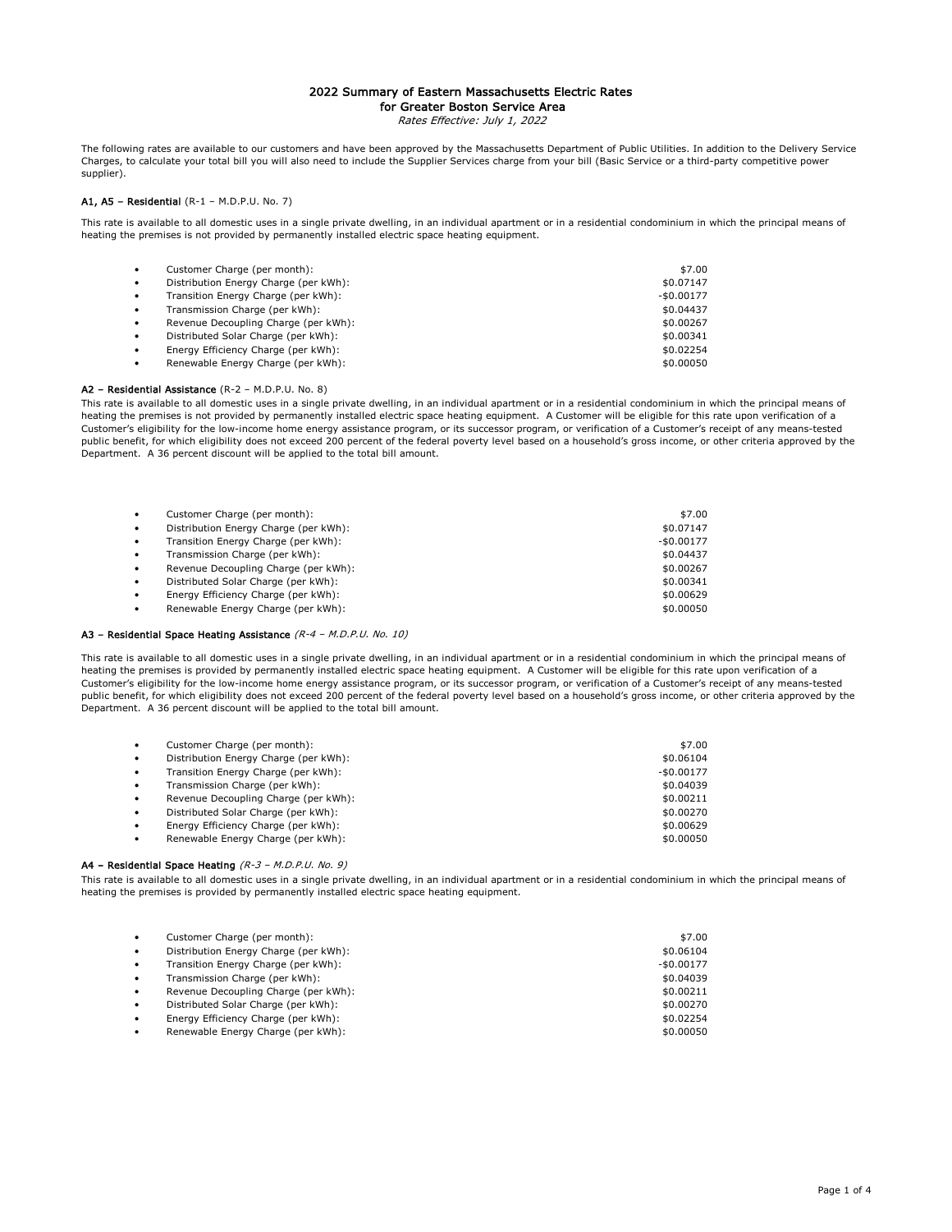## 2022 Summary of Eastern Massachusetts Electric Rates for Greater Boston Service Area

Rates Effective: July 1, 2022

The following rates are available to our customers and have been approved by the Massachusetts Department of Public Utilities. In addition to the Delivery Service Charges, to calculate your total bill you will also need to include the Supplier Services charge from your bill (Basic Service or a third-party competitive power supplier).

#### A1,  $AS - Residental (R-1 - M.D.P.U. No. 7)$

This rate is available to all domestic uses in a single private dwelling, in an individual apartment or in a residential condominium in which the principal means of heating the premises is not provided by permanently installed electric space heating equipment.

| $\bullet$ | Customer Charge (per month):          | \$7.00      |
|-----------|---------------------------------------|-------------|
| $\bullet$ | Distribution Energy Charge (per kWh): | \$0.07147   |
| $\bullet$ | Transition Energy Charge (per kWh):   | $-$0.00177$ |
| $\bullet$ | Transmission Charge (per kWh):        | \$0.04437   |
| $\bullet$ | Revenue Decoupling Charge (per kWh):  | \$0.00267   |
| $\bullet$ | Distributed Solar Charge (per kWh):   | \$0.00341   |
| $\bullet$ | Energy Efficiency Charge (per kWh):   | \$0.02254   |
| $\bullet$ | Renewable Energy Charge (per kWh):    | \$0.00050   |

#### A2 – Residential Assistance (R-2 – M.D.P.U. No. 8)

This rate is available to all domestic uses in a single private dwelling, in an individual apartment or in a residential condominium in which the principal means of heating the premises is not provided by permanently installed electric space heating equipment. A Customer will be eligible for this rate upon verification of a Customer's eligibility for the low-income home energy assistance program, or its successor program, or verification of a Customer's receipt of any means-tested public benefit, for which eligibility does not exceed 200 percent of the federal poverty level based on a household's gross income, or other criteria approved by the Department. A 36 percent discount will be applied to the total bill amount.

| $\bullet$ | Customer Charge (per month):          | \$7.00      |
|-----------|---------------------------------------|-------------|
| $\bullet$ | Distribution Energy Charge (per kWh): | \$0.07147   |
| $\bullet$ | Transition Energy Charge (per kWh):   | $-$0.00177$ |
| $\bullet$ | Transmission Charge (per kWh):        | \$0.04437   |
| $\bullet$ | Revenue Decoupling Charge (per kWh):  | \$0.00267   |
| $\bullet$ | Distributed Solar Charge (per kWh):   | \$0.00341   |
| $\bullet$ | Energy Efficiency Charge (per kWh):   | \$0.00629   |
| $\bullet$ | Renewable Energy Charge (per kWh):    | \$0.00050   |
|           |                                       |             |

#### A3 – Residential Space Heating Assistance (R-4 – M.D.P.U. No. 10)

This rate is available to all domestic uses in a single private dwelling, in an individual apartment or in a residential condominium in which the principal means of heating the premises is provided by permanently installed electric space heating equipment. A Customer will be eligible for this rate upon verification of a Customer's eligibility for the low-income home energy assistance program, or its successor program, or verification of a Customer's receipt of any means-tested public benefit, for which eligibility does not exceed 200 percent of the federal poverty level based on a household's gross income, or other criteria approved by the Department. A 36 percent discount will be applied to the total bill amount.

| $\bullet$ | Customer Charge (per month):          | \$7.00      |
|-----------|---------------------------------------|-------------|
| $\bullet$ | Distribution Energy Charge (per kWh): | \$0.06104   |
| $\bullet$ | Transition Energy Charge (per kWh):   | $-$0.00177$ |
| $\bullet$ | Transmission Charge (per kWh):        | \$0.04039   |
| $\bullet$ | Revenue Decoupling Charge (per kWh):  | \$0.00211   |
| $\bullet$ | Distributed Solar Charge (per kWh):   | \$0.00270   |
| $\bullet$ | Energy Efficiency Charge (per kWh):   | \$0.00629   |
| $\bullet$ | Renewable Energy Charge (per kWh):    | \$0.00050   |

#### A4 - Residential Space Heating (R-3 - M.D.P.U. No. 9)

This rate is available to all domestic uses in a single private dwelling, in an individual apartment or in a residential condominium in which the principal means of heating the premises is provided by permanently installed electric space heating equipment.

| $\bullet$ | Customer Charge (per month):          | \$7.00      |
|-----------|---------------------------------------|-------------|
| $\bullet$ | Distribution Energy Charge (per kWh): | \$0.06104   |
| $\bullet$ | Transition Energy Charge (per kWh):   | $-$0.00177$ |
| $\bullet$ | Transmission Charge (per kWh):        | \$0.04039   |
| $\bullet$ | Revenue Decoupling Charge (per kWh):  | \$0.00211   |
| $\bullet$ | Distributed Solar Charge (per kWh):   | \$0.00270   |
| $\bullet$ | Energy Efficiency Charge (per kWh):   | \$0.02254   |
| ٠         | Renewable Energy Charge (per kWh):    | \$0.00050   |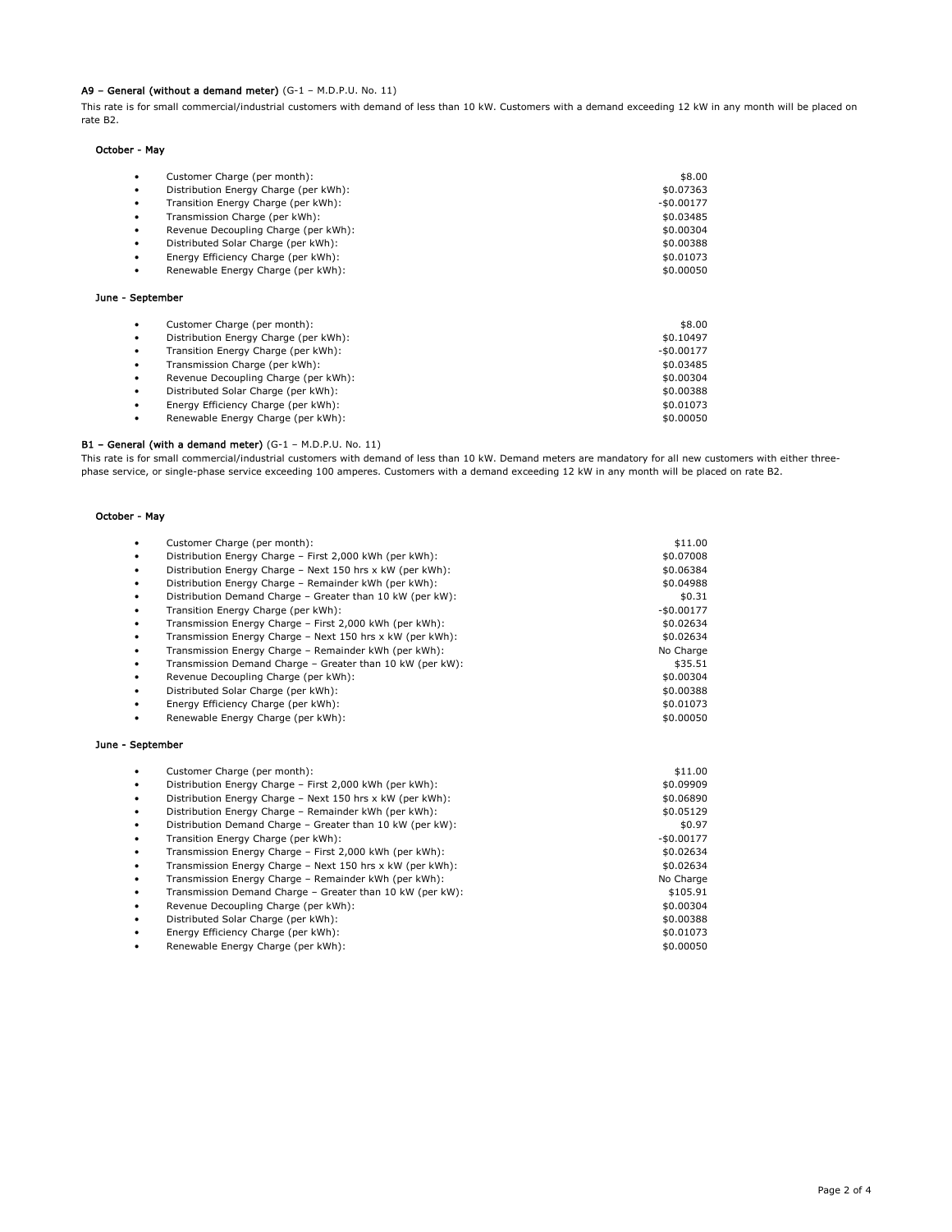### A9 – General (without a demand meter) (G-1 – M.D.P.U. No. 11)

This rate is for small commercial/industrial customers with demand of less than 10 kW. Customers with a demand exceeding 12 kW in any month will be placed on rate B2.

# October - May

June - September

| \$8.00      |
|-------------|
| \$0.07363   |
| $-$0.00177$ |
| \$0.03485   |
| \$0.00304   |
| \$0.00388   |
| \$0.01073   |
| \$0.00050   |
|             |

### • Customer Charge (per month): \$8.00 • Distribution Energy Charge (per kWh): \$0.10497 • Transition Energy Charge (per kWh):  $\sim$  50.00177 • Transmission Charge (per kWh): \$0.03485 • Revenue Decoupling Charge (per kWh):<br>• Distributed Solar Charge (per kWh): \$0.00304 • Distributed Solar Charge (per kWh): • Energy Efficiency Charge (per kWh): \$0.01073 • Renewable Energy Charge (per kWh): \$0.00050

### B1 – General (with a demand meter) (G-1 – M.D.P.U. No. 11)

This rate is for small commercial/industrial customers with demand of less than 10 kW. Demand meters are mandatory for all new customers with either threephase service, or single-phase service exceeding 100 amperes. Customers with a demand exceeding 12 kW in any month will be placed on rate B2.

### October - May

June -

|           | Customer Charge (per month):                              | \$11.00     |
|-----------|-----------------------------------------------------------|-------------|
| $\bullet$ | Distribution Energy Charge - First 2,000 kWh (per kWh):   | \$0.07008   |
| $\bullet$ | Distribution Energy Charge - Next 150 hrs x kW (per kWh): | \$0.06384   |
| $\bullet$ | Distribution Energy Charge - Remainder kWh (per kWh):     | \$0.04988   |
| $\bullet$ | Distribution Demand Charge - Greater than 10 kW (per kW): | \$0.31      |
| $\bullet$ | Transition Energy Charge (per kWh):                       | $-$0.00177$ |
| $\bullet$ | Transmission Energy Charge - First 2,000 kWh (per kWh):   | \$0.02634   |
| $\bullet$ | Transmission Energy Charge - Next 150 hrs x kW (per kWh): | \$0.02634   |
| $\bullet$ | Transmission Energy Charge - Remainder kWh (per kWh):     | No Charge   |
| $\bullet$ | Transmission Demand Charge - Greater than 10 kW (per kW): | \$35.51     |
| $\bullet$ | Revenue Decoupling Charge (per kWh):                      | \$0.00304   |
| $\bullet$ | Distributed Solar Charge (per kWh):                       | \$0.00388   |
| $\bullet$ | Energy Efficiency Charge (per kWh):                       | \$0.01073   |
| $\bullet$ | Renewable Energy Charge (per kWh):                        | \$0.00050   |
| September |                                                           |             |
| $\bullet$ | Customer Charge (per month):                              | \$11.00     |
| ٠         | Distribution Energy Charge - First 2,000 kWh (per kWh):   | \$0.09909   |
| $\bullet$ | Distribution Energy Charge - Next 150 hrs x kW (per kWh): | \$0.06890   |
| $\bullet$ | Distribution Energy Charge - Remainder kWh (per kWh):     | \$0.05129   |
| $\bullet$ | Distribution Demand Charge - Greater than 10 kW (per kW): | \$0.97      |
| ٠         | Transition Energy Charge (per kWh):                       | $-$0.00177$ |
| $\bullet$ | Transmission Energy Charge - First 2,000 kWh (per kWh):   | \$0.02634   |
| $\bullet$ | Transmission Energy Charge - Next 150 hrs x kW (per kWh): | \$0.02634   |
| ٠         | Transmission Energy Charge - Remainder kWh (per kWh):     | No Charge   |

- Transmission Demand Charge Greater than 10 kW (per kW): \$105.91
- Revenue Decoupling Charge (per kWh):  $\frac{1}{2}$  ,  $\frac{1}{2}$  ,  $\frac{30.00304}{2}$
- 
- Distributed Solar Charge (per kWh): \$0.00388
- Energy Efficiency Charge (per kWh): \$0.01073 Renewable Energy Charge (per kWh):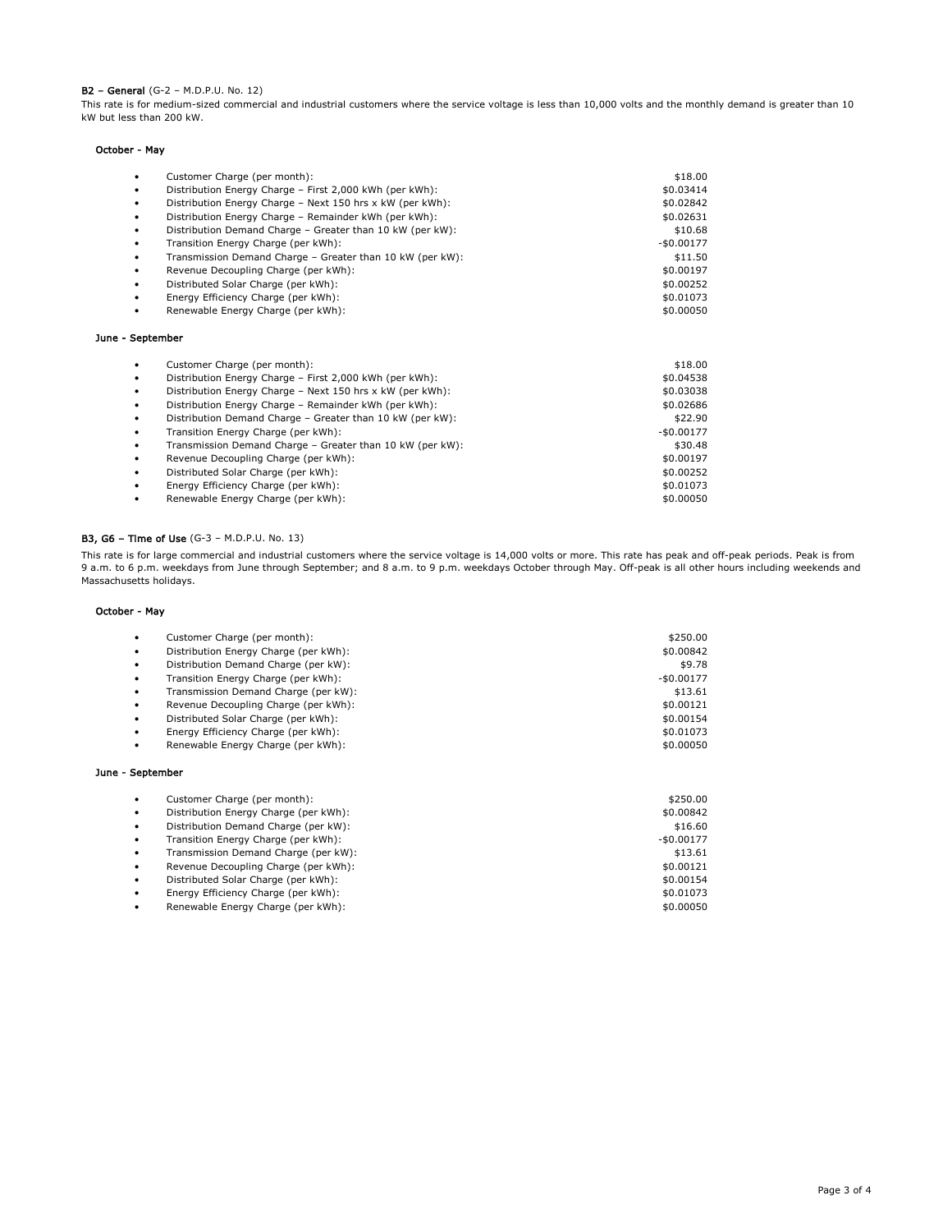### B2 – General (G-2 – M.D.P.U. No. 12)

This rate is for medium-sized commercial and industrial customers where the service voltage is less than 10,000 volts and the monthly demand is greater than 10 kW but less than 200 kW.

### October - May

| ٠                | Customer Charge (per month):                              | \$18.00     |
|------------------|-----------------------------------------------------------|-------------|
| ٠                | Distribution Energy Charge - First 2,000 kWh (per kWh):   | \$0.03414   |
| ٠                | Distribution Energy Charge - Next 150 hrs x kW (per kWh): | \$0.02842   |
| ٠                | Distribution Energy Charge - Remainder kWh (per kWh):     | \$0.02631   |
| ٠                | Distribution Demand Charge - Greater than 10 kW (per kW): | \$10.68     |
| ٠                | Transition Energy Charge (per kWh):                       | $-$0.00177$ |
| ٠                | Transmission Demand Charge - Greater than 10 kW (per kW): | \$11.50     |
| ٠                | Revenue Decoupling Charge (per kWh):                      | \$0.00197   |
| ٠                | Distributed Solar Charge (per kWh):                       | \$0.00252   |
|                  | Energy Efficiency Charge (per kWh):                       | \$0.01073   |
|                  | Renewable Energy Charge (per kWh):                        | \$0.00050   |
| June - September |                                                           |             |
|                  | Customer Charge (per month):                              | \$18.00     |
| ٠                | Distribution Energy Charge - First 2,000 kWh (per kWh):   | \$0.04538   |
| ٠                | Distribution Energy Charge - Next 150 hrs x kW (per kWh): | \$0.03038   |
|                  | Distribution Energy Charge - Remainder kWh (per kWh):     | \$0.02686   |
|                  | Distribution Domand Charge Crooter than 10 UW (nor UW).   | $+22.00$    |

• Distribution Demand Charge – Greater than 10 kW (per kW):  $$22.90$ <br>• Transition Energy Charge (per kWh): Fransition Energy Charge (per kWh):<br>
Transmission Demand Charge – Greater than 10 kW (per kW):  $$30.48$ • Transmission Demand Charge - Greater than 10 kW (per kW): • Revenue Decoupling Charge (per kWh): \$0.00197 • Distributed Solar Charge (per kWh): \$0.00252

- 
- Energy Efficiency Charge (per kWh):
- Renewable Energy Charge (per kWh): \$0.00050

## B3, G6 – Time of Use (G-3 – M.D.P.U. No. 13)

This rate is for large commercial and industrial customers where the service voltage is 14,000 volts or more. This rate has peak and off-peak periods. Peak is from 9 a.m. to 6 p.m. weekdays from June through September; and 8 a.m. to 9 p.m. weekdays October through May. Off-peak is all other hours including weekends and Massachusetts holidays.

#### October - May

| $\bullet$ | Customer Charge (per month):          | \$250.00    |
|-----------|---------------------------------------|-------------|
| $\bullet$ | Distribution Energy Charge (per kWh): | \$0.00842   |
| $\bullet$ | Distribution Demand Charge (per kW):  | \$9.78      |
| $\bullet$ | Transition Energy Charge (per kWh):   | $-$0.00177$ |
| $\bullet$ | Transmission Demand Charge (per kW):  | \$13.61     |
| $\bullet$ | Revenue Decoupling Charge (per kWh):  | \$0.00121   |
| $\bullet$ | Distributed Solar Charge (per kWh):   | \$0.00154   |
| $\bullet$ | Energy Efficiency Charge (per kWh):   | \$0.01073   |
| $\bullet$ | Renewable Energy Charge (per kWh):    | \$0.00050   |
|           |                                       |             |
|           | <u> Cantambar</u>                     |             |

## June - September

| $\bullet$ | Customer Charge (per month):          | \$250.00    |
|-----------|---------------------------------------|-------------|
| $\bullet$ | Distribution Energy Charge (per kWh): | \$0.00842   |
| $\bullet$ | Distribution Demand Charge (per kW):  | \$16.60     |
| $\bullet$ | Transition Energy Charge (per kWh):   | $-$0.00177$ |
| $\bullet$ | Transmission Demand Charge (per kW):  | \$13.61     |
| $\bullet$ | Revenue Decoupling Charge (per kWh):  | \$0.00121   |
| $\bullet$ | Distributed Solar Charge (per kWh):   | \$0.00154   |
| $\bullet$ | Energy Efficiency Charge (per kWh):   | \$0.01073   |
| $\bullet$ | Renewable Energy Charge (per kWh):    | \$0.00050   |
|           |                                       |             |